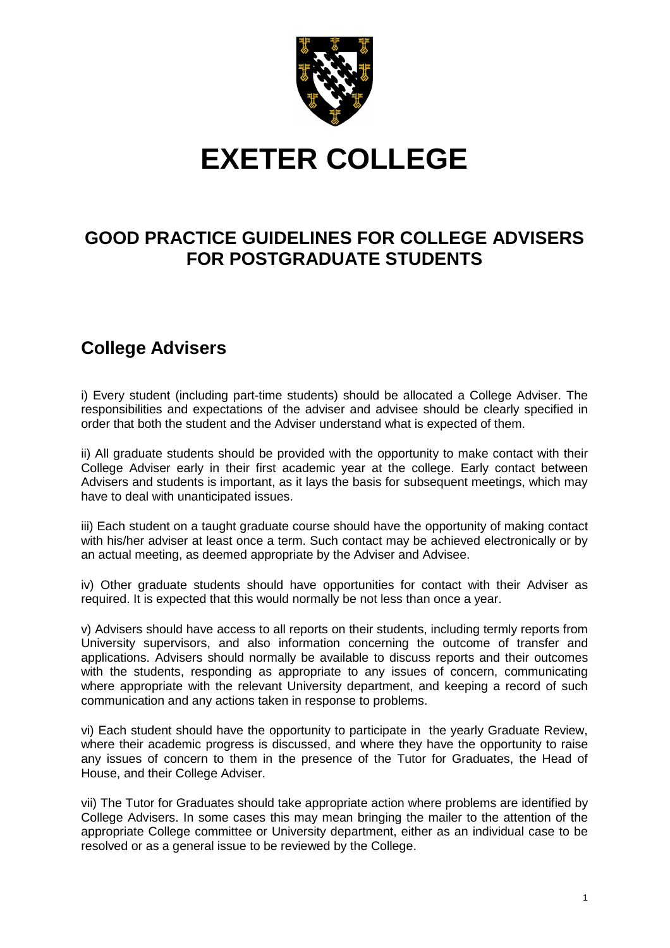

# **EXETER COLLEGE**

## **GOOD PRACTICE GUIDELINES FOR COLLEGE ADVISERS FOR POSTGRADUATE STUDENTS**

#### **College Advisers**

i) Every student (including part-time students) should be allocated a College Adviser. The responsibilities and expectations of the adviser and advisee should be clearly specified in order that both the student and the Adviser understand what is expected of them.

ii) All graduate students should be provided with the opportunity to make contact with their College Adviser early in their first academic year at the college. Early contact between Advisers and students is important, as it lays the basis for subsequent meetings, which may have to deal with unanticipated issues.

iii) Each student on a taught graduate course should have the opportunity of making contact with his/her adviser at least once a term. Such contact may be achieved electronically or by an actual meeting, as deemed appropriate by the Adviser and Advisee.

iv) Other graduate students should have opportunities for contact with their Adviser as required. It is expected that this would normally be not less than once a year.

v) Advisers should have access to all reports on their students, including termly reports from University supervisors, and also information concerning the outcome of transfer and applications. Advisers should normally be available to discuss reports and their outcomes with the students, responding as appropriate to any issues of concern, communicating where appropriate with the relevant University department, and keeping a record of such communication and any actions taken in response to problems.

vi) Each student should have the opportunity to participate in the yearly Graduate Review, where their academic progress is discussed, and where they have the opportunity to raise any issues of concern to them in the presence of the Tutor for Graduates, the Head of House, and their College Adviser.

vii) The Tutor for Graduates should take appropriate action where problems are identified by College Advisers. In some cases this may mean bringing the mailer to the attention of the appropriate College committee or University department, either as an individual case to be resolved or as a general issue to be reviewed by the College.